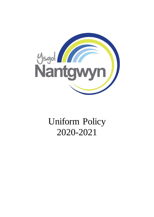

# Uniform Policy 2020-2021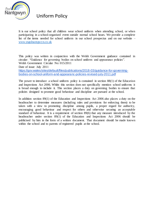

It is our school policy that all children wear school uniform when attending school, or when participating in a school-organised event outside normal school hours. We provide a complete list of the items needed for school uniform in our school prospectus and on our website – [www.ysgolnantgwyn.co.uk](http://www.ysgolnantgwyn.co.uk/)

This policy was written in conjunction with the Welsh Government guidance contained in circular: "Guidance for governing bodies on school uniform and appearance policies". Welsh Government Circular No: 015/2011 Date of issue: July 2011 [https://gov.wales/sites/default/files/publications/2018-03/guidance-for-governing](https://gov.wales/sites/default/files/publications/2018-03/guidance-for-governing-bodies-on-school-uniform-and-appearanc-policies-revised-july-2011.pdf)[bodies-on-school-uniform-and-appearanc-policies-revised-july-2011.pdf](https://gov.wales/sites/default/files/publications/2018-03/guidance-for-governing-bodies-on-school-uniform-and-appearanc-policies-revised-july-2011.pdf)

The power to introduce a school uniform policy is contained in section 88(1) of the Education and Inspections Act 2006. Whilst this section does not specifically mention school uniforms it is broad enough to include it. This section places a duty on governing bodies to ensure that policies designed to promote good behaviour and discipline are pursued at the school.

In addition section 89(1) of the Education and Inspections Act 2006 also places a duty on the headteacher to determine measures (including rules and provisions for enforcing them) to be taken with a view to promoting discipline among pupils, a proper regard for authority, encouraging good behaviour and respect for others and otherwise securing an acceptable standard of behaviour. It is a requirement of section 89(6) that any measure introduced by the headteacher under section 89(1) of the Education and Inspections Act 2006 should be publicised by him in the form of a written document. That document should be made known within the school and to parents of registered pupils at the school.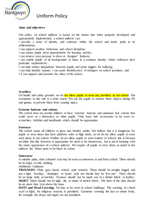

### **Aims and objectives**

Our policy on school uniform is based on the notion that when properly developed and appropriately implemented, a school uniform can:

• provide a sense of identity and cohesion within the school and instils pride in its achievements;

- can support positive behaviour and school discipline;
- can ensure pupils dress appropriately for learning activity;
- can remove peer pressure to dress in 'designer' fashions;

• can enable pupils of all backgrounds to share in a common identity which embraces their particular requirements;

- can help reduce inequalities between pupils and some triggers for bullying;
- can help identify truants; can assist identification of strangers on school premises; and
- it can support and promote the ethos of the school.

### **Jewellery**

On health and safety grounds we do not allow pupils to wear any jewellery in our school. The exceptions to this rule is a wrist watch. We ask the pupils to remove these objects during PE and games, to prevent them from causing injury.

### **Extreme haircuts and colours**

The school does not permit children to have 'extreme' haircuts and unnatural hair colours that could serve as a distraction to other pupils. Only basic hair accessories to be worn i.e. scrunchies, bobbles and headbands which should be appropriate.

### **Footwear**

The school wants all children to grow into healthy adults. We believe that it is dangerous for pupils to wear shoes that have platform soles or high heels, so we do not allow pupils to wear such shoes in our school. Neither do we allow pupils to wear trainers to school; this is because we think that this footwear is appropriate for sport or for leisurewear, but is not in keeping with the smart appearance of a school uniform. We require all pupils to wear shoes as stated in the uniform list. Shoes need to be black in colour.

### **Outerwear**

A suitable plain, dark coloured coat may be worn as outerwear to and from school. There should be no logos on this clothing.

### Additional Guidance

**TROUSERS**: Plain, grey classic school- style trousers. These should be straight legged and not a tight, 'bootleg', 'drainpipe' or 'jeans' style nor should they be 'low-rise'. There should be no large belts or buckles. Trousers should not be made out of a denim fabric or leather. **SKIRT**: Skirts should not be tight, slit, or made of stretch fabric. The hem of the skirt should be no more than 5cm above the knee.

**HATS and Head Covering**: No hats to be worn in school buildings. The wearing of a head scarf or hijab, for religious reasons, is permitted. Garments covering the face or whole body, for example the abaya and niqab are not permitted.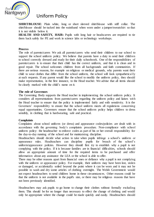

**SHIRT/BLOUSE:** Plain white, long or short sleeved shirt/blouse with stiff collar. The shirt/blouse should be tucked into the waistband when worn under a jumper/sweatshirt so that it is not visible below it.

**HEALTH AND SAFETY, HAIR:** Pupils with long hair or headscarves are required to tie them back safely for PE and work in science labs or technology workshops.

### **Process**

The role of parents/carers We ask all parents/carers who send their children to our school to support the school uniform policy. We believe that parents have a duty to send their children to school correctly dressed and ready for their daily schoolwork. One of the responsibilities of parents/carers is to ensure that their child has the correct uniform, and that it is clean and in good repair. The school welcomes children from all backgrounds and faith communities. If there are serious reasons, for example on religious or medical grounds, why parents want their child to wear clothes that differ from the school uniform, the school will look sympathetically at such requests. If any parent would like the school to modify the uniform policy, they should make representation, in the first instance, to the Head teacher. We advise that all items should be clearly marked with the child's name on it.

### **The role of Governors**

The Governing Body supports the Head teacher in implementing the school uniform policy. It considers all representations from parents/carers regarding the uniform policy and liaises with the Head teacher to ensure that the policy is implemented fairly and with sensitivity. It is the Governors' responsibility to ensure that the school uniform meets all regulations concerning equal opportunities. Governors ensure that the school uniform policy helps children to dress sensibly, in clothing that is hardwearing, safe and practical.

### **Complaints**

Complaints about school uniform (or dress) and appearance codes/policies are dealt with in accordance with the governing body's complaints procedure. Non-compliance with school uniform policy: the headteacher to enforce codes as part of his or her overall responsibility for the day-to-day running of the school and for maintaining discipline.

Headteachers should decide what action to take when pupils infringe a school's uniform or appearance rules. Headteachers can discipline pupils for breach of the school's uniform/appearance policies. However they should first try to establish why a pupil is not complying with the policy. If it is because families are in financial difficulties, schools should allow an appropriate amount of time for the required items to be purchased and offer information about any assistance the LEA or the school is able to offer.

There may be other reasons apart from financial ones or defiance why a pupil is not complying with the uniform or appearance policy. For example, their uniform may have been lost, stolen or damaged, or accidentally soiled beyond the point where it can be worn and it may not be possible to wash and dry some articles of clothing overnight. The Welsh Government would not expect headteachers to send children home in these circumstances. Other reasons could be that the uniform is not available in the pupil's size, or there may be religious reasons that have not been previously identified.

Headteachers may ask pupils to go home to change their clothes without formally excluding them. This should be for no longer than necessary to effect the change of clothing and would only be appropriate where the change could be made quickly and easily. Headteachers should